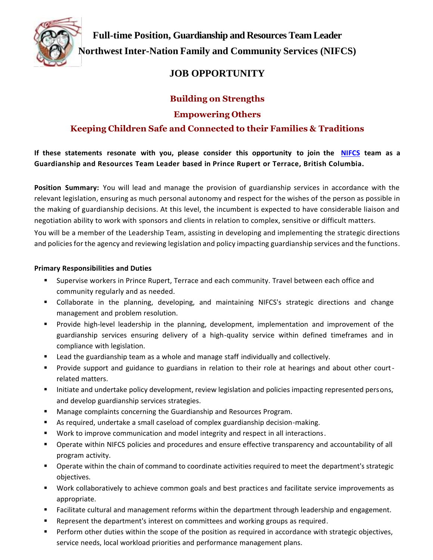

**Full-time Position, Guardianship and Resources Team Leader Northwest Inter-Nation Family and Community Services (NIFCS)** 

# **JOB OPPORTUNITY**

## **Building on Strengths**

### **Empowering Others**

## **Keeping Children Safe and Connected to their Families & Traditions**

**If these statements resonate with you, please consider this opportunity to join the NIFCS team as a Guardianship and Resources Team Leader based in Prince Rupert or Terrace, British Columbia.**

**Position Summary:** You will lead and manage the provision of guardianship services in accordance with the relevant legislation, ensuring as much personal autonomy and respect for the wishes of the person as possible in the making of guardianship decisions. At this level, the incumbent is expected to have considerable liaison and negotiation ability to work with sponsors and clients in relation to complex, sensitive or difficult matters.

You will be a member of the Leadership Team, assisting in developing and implementing the strategic directions and policies for the agency and reviewing legislation and policy impacting guardianship services and the functions.

#### **Primary Responsibilities and Duties**

- Supervise workers in Prince Rupert, Terrace and each community. Travel between each office and community regularly and as needed.
- Collaborate in the planning, developing, and maintaining NIFCS's strategic directions and change management and problem resolution.
- Provide high-level leadership in the planning, development, implementation and improvement of the guardianship services ensuring delivery of a high-quality service within defined timeframes and in compliance with legislation.
- Lead the guardianship team as a whole and manage staff individually and collectively.
- **•** Provide support and guidance to guardians in relation to their role at hearings and about other courtrelated matters.
- Initiate and undertake policy development, review legislation and policies impacting represented persons, and develop guardianship services strategies.
- Manage complaints concerning the Guardianship and Resources Program.
- As required, undertake a small caseload of complex guardianship decision-making.
- Work to improve communication and model integrity and respect in all interactions.
- Operate within NIFCS policies and procedures and ensure effective transparency and accountability of all program activity.
- Operate within the chain of command to coordinate activities required to meet the department's strategic objectives.
- Work collaboratively to achieve common goals and best practices and facilitate service improvements as appropriate.
- Facilitate cultural and management reforms within the department through leadership and engagement.
- **EXE** Represent the department's interest on committees and working groups as required.
- Perform other duties within the scope of the position as required in accordance with strategic objectives, service needs, local workload priorities and performance management plans.